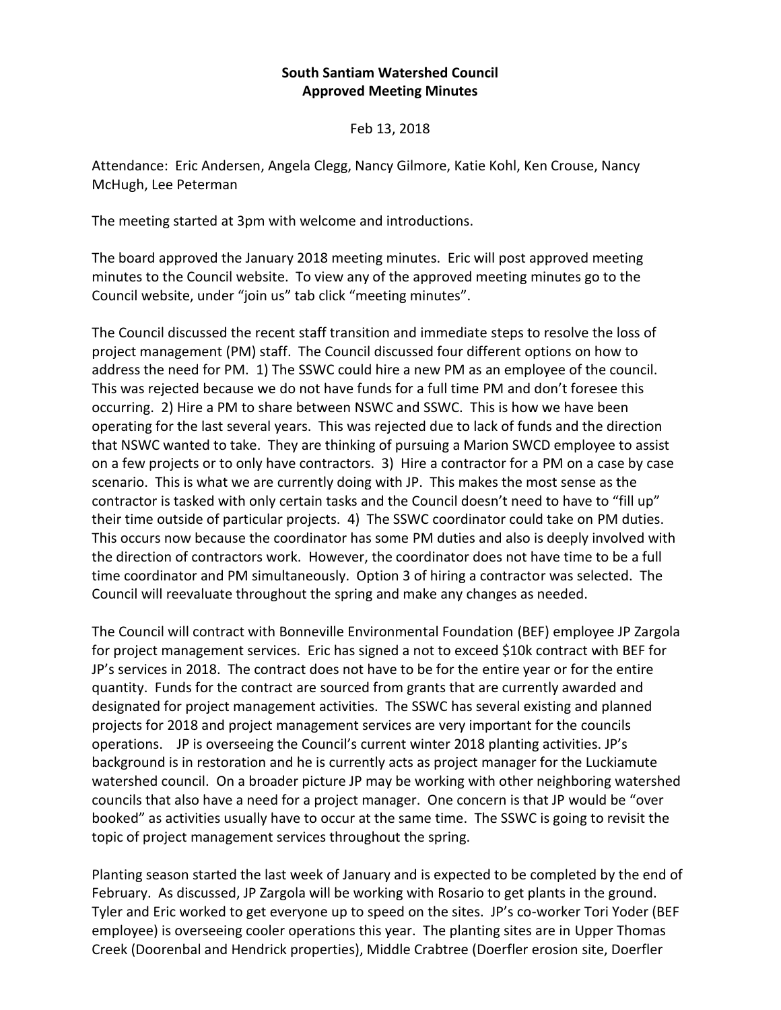## **South Santiam Watershed Council Approved Meeting Minutes**

Feb 13, 2018

Attendance: Eric Andersen, Angela Clegg, Nancy Gilmore, Katie Kohl, Ken Crouse, Nancy McHugh, Lee Peterman

The meeting started at 3pm with welcome and introductions.

The board approved the January 2018 meeting minutes. Eric will post approved meeting minutes to the Council website. To view any of the approved meeting minutes go to the Council website, under "join us" tab click "meeting minutes".

The Council discussed the recent staff transition and immediate steps to resolve the loss of project management (PM) staff. The Council discussed four different options on how to address the need for PM. 1) The SSWC could hire a new PM as an employee of the council. This was rejected because we do not have funds for a full time PM and don't foresee this occurring. 2) Hire a PM to share between NSWC and SSWC. This is how we have been operating for the last several years. This was rejected due to lack of funds and the direction that NSWC wanted to take. They are thinking of pursuing a Marion SWCD employee to assist on a few projects or to only have contractors. 3) Hire a contractor for a PM on a case by case scenario. This is what we are currently doing with JP. This makes the most sense as the contractor is tasked with only certain tasks and the Council doesn't need to have to "fill up" their time outside of particular projects. 4) The SSWC coordinator could take on PM duties. This occurs now because the coordinator has some PM duties and also is deeply involved with the direction of contractors work. However, the coordinator does not have time to be a full time coordinator and PM simultaneously. Option 3 of hiring a contractor was selected. The Council will reevaluate throughout the spring and make any changes as needed.

The Council will contract with Bonneville Environmental Foundation (BEF) employee JP Zargola for project management services. Eric has signed a not to exceed \$10k contract with BEF for JP's services in 2018. The contract does not have to be for the entire year or for the entire quantity. Funds for the contract are sourced from grants that are currently awarded and designated for project management activities. The SSWC has several existing and planned projects for 2018 and project management services are very important for the councils operations. JP is overseeing the Council's current winter 2018 planting activities. JP's background is in restoration and he is currently acts as project manager for the Luckiamute watershed council. On a broader picture JP may be working with other neighboring watershed councils that also have a need for a project manager. One concern is that JP would be "over booked" as activities usually have to occur at the same time. The SSWC is going to revisit the topic of project management services throughout the spring.

Planting season started the last week of January and is expected to be completed by the end of February. As discussed, JP Zargola will be working with Rosario to get plants in the ground. Tyler and Eric worked to get everyone up to speed on the sites. JP's co-worker Tori Yoder (BEF employee) is overseeing cooler operations this year. The planting sites are in Upper Thomas Creek (Doorenbal and Hendrick properties), Middle Crabtree (Doerfler erosion site, Doerfler